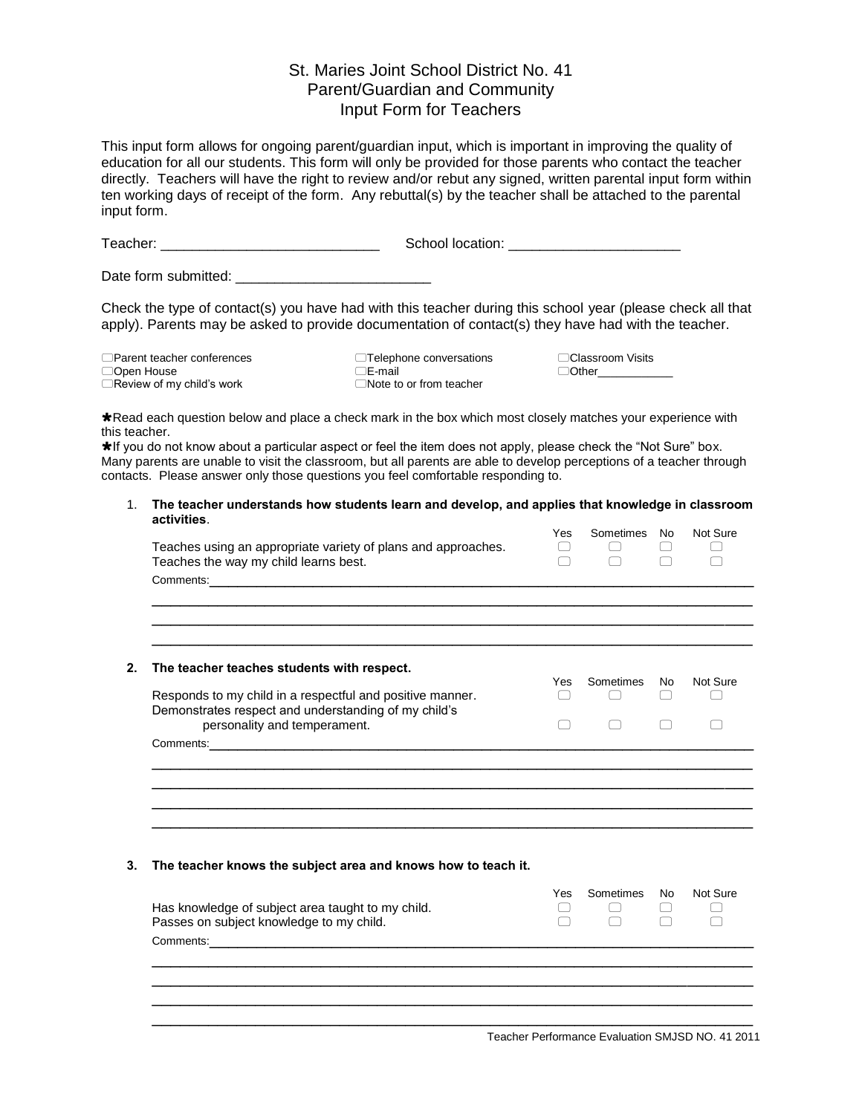## St. Maries Joint School District No. 41 Parent/Guardian and Community Input Form for Teachers

This input form allows for ongoing parent/guardian input, which is important in improving the quality of education for all our students. This form will only be provided for those parents who contact the teacher directly. Teachers will have the right to review and/or rebut any signed, written parental input form within ten working days of receipt of the form. Any rebuttal(s) by the teacher shall be attached to the parental input form.

Teacher: \_\_\_\_\_\_\_\_\_\_\_\_\_\_\_\_\_\_\_\_\_\_\_\_\_\_\_\_ School location: \_\_\_\_\_\_\_\_\_\_\_\_\_\_\_\_\_\_\_\_\_\_

Date form submitted:  $\blacksquare$ 

Check the type of contact(s) you have had with this teacher during this school year (please check all that apply). Parents may be asked to provide documentation of contact(s) they have had with the teacher.

| □ Parent teacher conferences     |  |
|----------------------------------|--|
| □Open House                      |  |
| $\Box$ Review of my child's work |  |

 $\Box$  Telephone conversations  $\Box$  Classroom Visits  $\Box$  E-mail  $\Box$  Note to or from teacher

 $\Box$  Other

\*Read each question below and place a check mark in the box which most closely matches your experience with this teacher.

If you do not know about a particular aspect or feel the item does not apply, please check the "Not Sure" box. Many parents are unable to visit the classroom, but all parents are able to develop perceptions of a teacher through contacts. Please answer only those questions you feel comfortable responding to.

## 1. **The teacher understands how students learn and develop, and applies that knowledge in classroom activities**.

| Teaches using an appropriate variety of plans and approaches.<br>Teaches the way my child learns best.            | Yes | Sometimes | No. | Not Sure |
|-------------------------------------------------------------------------------------------------------------------|-----|-----------|-----|----------|
| Comments: 2008. 2009. 2009. 2009. 2010. 2010. 2010. 2010. 2010. 2010. 2010. 2010. 2010. 2010. 2010. 2010. 2010    |     |           |     |          |
|                                                                                                                   |     |           |     |          |
|                                                                                                                   |     |           |     |          |
|                                                                                                                   |     |           |     |          |
|                                                                                                                   |     |           |     |          |
| The teacher teaches students with respect.                                                                        |     |           |     |          |
|                                                                                                                   | Yes | Sometimes | No. | Not Sure |
| Responds to my child in a respectful and positive manner.<br>Demonstrates respect and understanding of my child's |     |           |     |          |
| personality and temperament.                                                                                      |     |           |     |          |

## **3. The teacher knows the subject area and knows how to teach it.**

| Has knowledge of subject area taught to my child.<br>Passes on subject knowledge to my child. | Yes | Sometimes No | Not Sure |
|-----------------------------------------------------------------------------------------------|-----|--------------|----------|
| Comments:                                                                                     |     |              |          |
|                                                                                               |     |              |          |
|                                                                                               |     |              |          |
|                                                                                               |     |              |          |

\_\_\_\_\_\_\_\_\_\_\_\_\_\_\_\_\_\_\_\_\_\_\_\_\_\_\_\_\_\_\_\_\_\_\_\_\_\_\_\_\_\_\_\_\_\_\_\_\_\_\_\_\_\_\_\_\_\_\_\_\_\_\_\_ \_\_\_\_\_\_\_\_\_\_\_\_\_\_\_\_\_\_\_\_\_\_\_\_\_\_\_\_\_\_\_\_\_\_\_\_\_\_\_\_\_\_\_\_\_\_\_\_\_\_\_\_\_\_\_\_\_\_\_\_\_\_\_\_

Teacher Performance Evaluation SMJSD NO. 41 2011